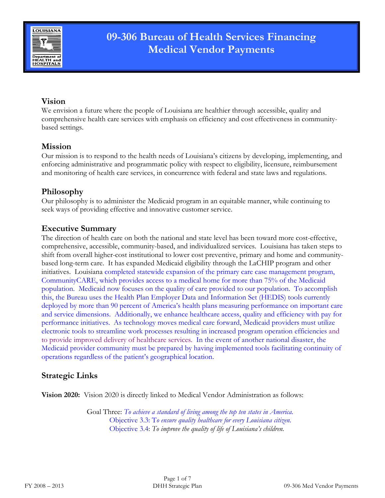

# **09-306 Bureau of Health Services Financing Medical Vendor Payments**

# **Vision**

We envision a future where the people of Louisiana are healthier through accessible, quality and comprehensive health care services with emphasis on efficiency and cost effectiveness in communitybased settings.

### **Mission**

Our mission is to respond to the health needs of Louisiana's citizens by developing, implementing, and enforcing administrative and programmatic policy with respect to eligibility, licensure, reimbursement and monitoring of health care services, in concurrence with federal and state laws and regulations.

# **Philosophy**

Our philosophy is to administer the Medicaid program in an equitable manner, while continuing to seek ways of providing effective and innovative customer service.

### **Executive Summary**

The direction of health care on both the national and state level has been toward more cost-effective, comprehensive, accessible, community-based, and individualized services. Louisiana has taken steps to shift from overall higher-cost institutional to lower cost preventive, primary and home and communitybased long-term care. It has expanded Medicaid eligibility through the LaCHIP program and other initiatives. Louisiana completed statewide expansion of the primary care case management program, CommunityCARE, which provides access to a medical home for more than 75% of the Medicaid population. Medicaid now focuses on the quality of care provided to our population. To accomplish this, the Bureau uses the Health Plan Employer Data and Information Set (HEDIS) tools currently deployed by more than 90 percent of America's health plans measuring performance on important care and service dimensions. Additionally, we enhance healthcare access, quality and efficiency with pay for performance initiatives. As technology moves medical care forward, Medicaid providers must utilize electronic tools to streamline work processes resulting in increased program operation efficiencies and to provide improved delivery of healthcare services. In the event of another national disaster, the Medicaid provider community must be prepared by having implemented tools facilitating continuity of operations regardless of the patient's geographical location.

# **Strategic Links**

**Vision 2020:** Vision 2020 is directly linked to Medical Vendor Administration as follows:

Goal Three: *To achieve a standard of living among the top ten states in America.* Objective 3.3: T*o ensure quality healthcare for every Louisiana citizen.* Objective 3.4: *To improve the quality of life of Louisiana's children.*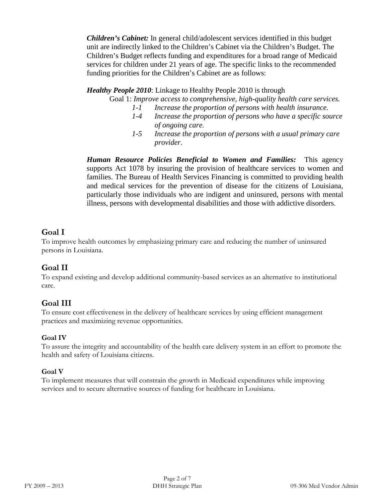*Children's Cabinet:* In general child/adolescent services identified in this budget unit are indirectly linked to the Children's Cabinet via the Children's Budget. The Children's Budget reflects funding and expenditures for a broad range of Medicaid services for children under 21 years of age. The specific links to the recommended funding priorities for the Children's Cabinet are as follows:

#### *Healthy People 2010*: Linkage to Healthy People 2010 is through

Goal 1: *Improve access to comprehensive, high-quality health care services.*

- *1-1 Increase the proportion of persons with health insurance.*
- *1-4 Increase the proportion of persons who have a specific source of ongoing care.*
- *1-5 Increase the proportion of persons with a usual primary care provider.*

*Human Resource Policies Beneficial to Women and Families:* This agency supports Act 1078 by insuring the provision of healthcare services to women and families. The Bureau of Health Services Financing is committed to providing health and medical services for the prevention of disease for the citizens of Louisiana, particularly those individuals who are indigent and uninsured, persons with mental illness, persons with developmental disabilities and those with addictive disorders.

# **Goal I**

To improve health outcomes by emphasizing primary care and reducing the number of uninsured persons in Louisiana.

# **Goal II**

To expand existing and develop additional community-based services as an alternative to institutional care.

# **Goal III**

To ensure cost effectiveness in the delivery of healthcare services by using efficient management practices and maximizing revenue opportunities.

#### **Goal IV**

To assure the integrity and accountability of the health care delivery system in an effort to promote the health and safety of Louisiana citizens.

#### **Goal V**

To implement measures that will constrain the growth in Medicaid expenditures while improving services and to secure alternative sources of funding for healthcare in Louisiana.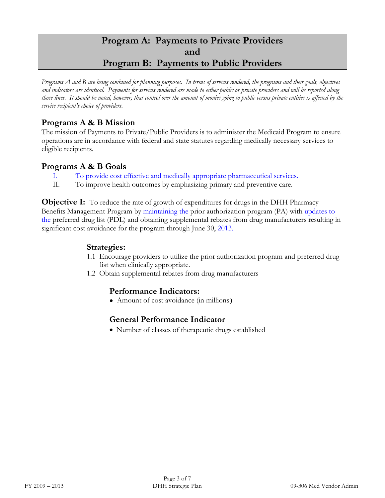# **Program A: Payments to Private Providers and Program B: Payments to Public Providers**

*Programs A and B are being combined for planning purposes. In terms of services rendered, the programs and their goals, objectives and indicators are identical. Payments for services rendered are made to either public or private providers and will be reported along those lines. It should be noted, however, that control over the amount of monies going to public versus private entities is affected by the service recipient's choice of providers.* 

### **Programs A & B Mission**

The mission of Payments to Private/Public Providers is to administer the Medicaid Program to ensure operations are in accordance with federal and state statutes regarding medically necessary services to eligible recipients.

#### **Programs A & B Goals**

- I. To provide cost effective and medically appropriate pharmaceutical services.
- II. To improve health outcomes by emphasizing primary and preventive care.

**Objective I:** To reduce the rate of growth of expenditures for drugs in the DHH Pharmacy Benefits Management Program by maintaining the prior authorization program (PA) with updates to the preferred drug list (PDL) and obtaining supplemental rebates from drug manufacturers resulting in significant cost avoidance for the program through June 30, 2013.

#### **Strategies:**

- 1.1 Encourage providers to utilize the prior authorization program and preferred drug list when clinically appropriate.
- 1.2 Obtain supplemental rebates from drug manufacturers

#### **Performance Indicators:**

● Amount of cost avoidance (in millions)

# **General Performance Indicator**

• Number of classes of therapeutic drugs established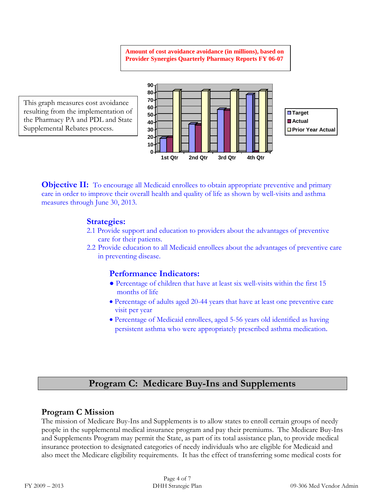**Amount of cost avoidance avoidance (in millions), based on Provider Synergies Quarterly Pharmacy Reports FY 06-07**

This graph measures cost avoidance resulting from the implementation of the Pharmacy PA and PDL and State Supplemental Rebates process.



**Objective II:** To encourage all Medicaid enrollees to obtain appropriate preventive and primary care in order to improve their overall health and quality of life as shown by well-visits and asthma measures through June 30, 2013.

#### **Strategies:**

- 2.1 Provide support and education to providers about the advantages of preventive care for their patients.
- 2.2 Provide education to all Medicaid enrollees about the advantages of preventive care in preventing disease.

#### **Performance Indicators:**

- Percentage of children that have at least six well-visits within the first 15 months of life
- Percentage of adults aged 20-44 years that have at least one preventive care visit per year
- Percentage of Medicaid enrollees, aged 5-56 years old identified as having persistent asthma who were appropriately prescribed asthma medication.

# **Program C: Medicare Buy-Ins and Supplements**

#### **Program C Mission**

The mission of Medicare Buy-Ins and Supplements is to allow states to enroll certain groups of needy people in the supplemental medical insurance program and pay their premiums. The Medicare Buy-Ins and Supplements Program may permit the State, as part of its total assistance plan, to provide medical insurance protection to designated categories of needy individuals who are eligible for Medicaid and also meet the Medicare eligibility requirements. It has the effect of transferring some medical costs for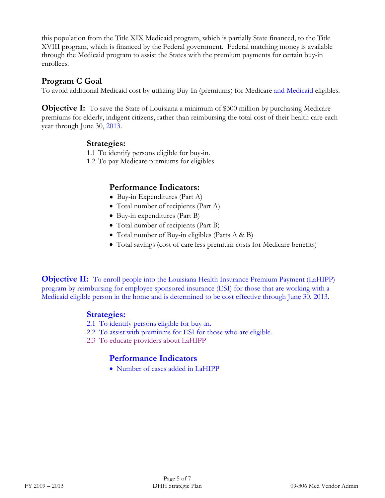this population from the Title XIX Medicaid program, which is partially State financed, to the Title XVIII program, which is financed by the Federal government. Federal matching money is available through the Medicaid program to assist the States with the premium payments for certain buy-in enrollees.

#### **Program C Goal**

To avoid additional Medicaid cost by utilizing Buy-In (premiums) for Medicare and Medicaid eligibles.

**Objective I:** To save the State of Louisiana a minimum of \$300 million by purchasing Medicare premiums for elderly, indigent citizens, rather than reimbursing the total cost of their health care each year through June 30, 2013.

#### **Strategies:**

1.1 To identify persons eligible for buy-in.

1.2 To pay Medicare premiums for eligibles

#### **Performance Indicators:**

- Buy-in Expenditures (Part A)
- Total number of recipients (Part A)
- Buy-in expenditures (Part B)
- Total number of recipients (Part B)
- Total number of Buy-in eligibles (Parts A & B)
- Total savings (cost of care less premium costs for Medicare benefits)

**Objective II:** To enroll people into the Louisiana Health Insurance Premium Payment (LaHIPP) program by reimbursing for employee sponsored insurance (ESI) for those that are working with a Medicaid eligible person in the home and is determined to be cost effective through June 30, 2013.

#### **Strategies:**

- 2.1 To identify persons eligible for buy-in.
- 2.2 To assist with premiums for ESI for those who are eligible.
- 2.3 To educate providers about LaHIPP

# **Performance Indicators**

• Number of cases added in LaHIPP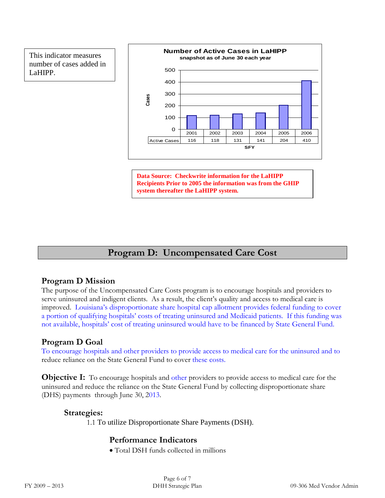This indicator measures number of cases added in LaHIPP.



**Data Source: Checkwrite information for the LaHIPP Recipients Prior to 2005 the information was from the GHIP system thereafter the LaHIPP system.**

# **Program D: Uncompensated Care Cost**

#### **Program D Mission**

The purpose of the Uncompensated Care Costs program is to encourage hospitals and providers to serve uninsured and indigent clients. As a result, the client's quality and access to medical care is improved. Louisiana's disproportionate share hospital cap allotment provides federal funding to cover a portion of qualifying hospitals' costs of treating uninsured and Medicaid patients. If this funding was not available, hospitals' cost of treating uninsured would have to be financed by State General Fund.

#### **Program D Goal**

To encourage hospitals and other providers to provide access to medical care for the uninsured and to reduce reliance on the State General Fund to cover these costs.

**Objective I:** To encourage hospitals and other providers to provide access to medical care for the uninsured and reduce the reliance on the State General Fund by collecting disproportionate share (DHS) payments through June 30, 2013.

#### **Strategies:**

1.1 To utilize Disproportionate Share Payments (DSH).

# **Performance Indicators**

• Total DSH funds collected in millions